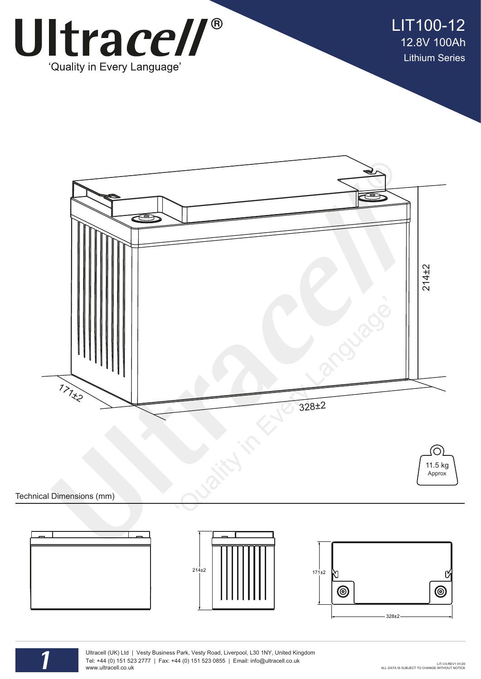

LIT100-12 12.8V 100Ah Lithium Series





Technical Dimensions (mm)



Ultracell (UK) Ltd | Vesty Business Park, Vesty Road, Liverpool, L30 1NY, United Kingdom Tel: +44 (0) 151 523 2777 | Fax: +44 (0) 151 523 0855 | Email: info@ultracell.co.uk www.ultracell.co.uk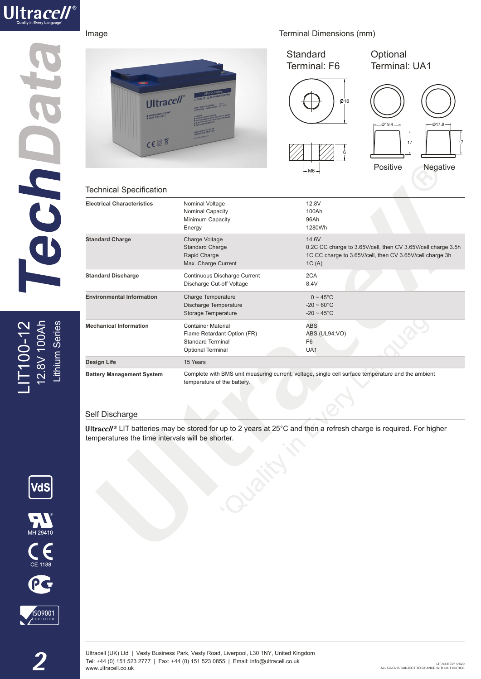

## echo?

IT100-12<br>12.8V 100Ah ithium Series LIT100-12 12.8V 100Ah Lithium Series

|                                                                                                   |                                                                                 | Standard<br>Terminal: F6                                                                                                                   | Optional<br>Terminal: UA1                              |
|---------------------------------------------------------------------------------------------------|---------------------------------------------------------------------------------|--------------------------------------------------------------------------------------------------------------------------------------------|--------------------------------------------------------|
| <b>Ultracell</b><br><b>B</b> MAINTENANCE FREE<br>$CE^{\otimes}$<br><b>Technical Specification</b> | LIT100-12 (12.8V 100AH/1286                                                     | $\boldsymbol{\phi}$ 16<br>6<br>$-M6-$                                                                                                      | $-019.4 -$<br>$-017.8 -$<br>17<br>Positive<br>Negative |
| <b>Electrical Characteristics</b>                                                                 | Nominal Voltage<br>Nominal Capacity<br>Minimum Capacity<br>Energy               | 12.8V<br>100Ah<br>96Ah<br>1280Wh                                                                                                           |                                                        |
| <b>Standard Charge</b>                                                                            | Charge Voltage<br><b>Standard Charge</b><br>Rapid Charge<br>Max. Charge Current | 14.6V<br>0.2C CC charge to 3.65V/cell, then CV 3.65V/cell charge 3.5h<br>1C CC charge to 3.65V/cell, then CV 3.65V/cell charge 3h<br>1C(A) |                                                        |
| <b>Standard Discharge</b>                                                                         | Continuous Discharge Current<br>Discharge Cut-off Voltage                       | 2CA<br>8.4V                                                                                                                                |                                                        |
| <b>Environmental Information</b>                                                                  | <b>Charge Temperature</b>                                                       | $0 \sim 45^{\circ}$ C                                                                                                                      |                                                        |

Image **Image** Terminal Dimensions (mm)

## Self Discharge

**Mechanical Information**

**Battery Management System**

**Design Life** 15 Years 15 Years

Container Material Flame Retardant Option (FR) Standard Terminal Optional Terminal

Discharge Temperature Storage Temperature

temperature of the battery.

Ultracell<sup>®</sup> LIT batteries may be stored for up to 2 years at 25°C and then a refresh charge is required. For higher temperatures the time intervals will be shorter.

ABS

 $-20 \sim 60^{\circ}$ C  $-20 \sim 45^{\circ}$ C

F6 UA1

Complete with BMS unit measuring current, voltage, single cell surface temperature and the ambient

ABS (UL94:VO)







17